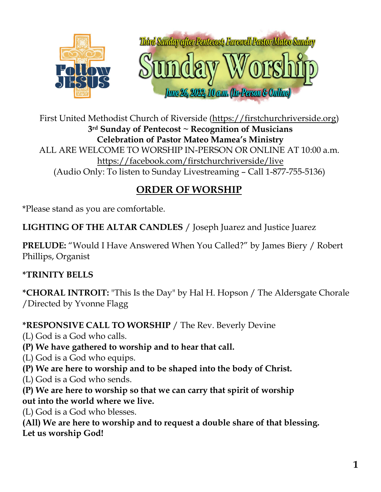

First United Methodist Church of Riverside [\(https://firstchurchriverside.org\)](https://firstchurchriverside.org/) **3rd Sunday of Pentecost ~ Recognition of Musicians Celebration of Pastor Mateo Mamea's Ministry** ALL ARE WELCOME TO WORSHIP IN-PERSON OR ONLINE AT 10:00 a.m. <https://facebook.com/firstchurchriverside/live> (Audio Only: To listen to Sunday Livestreaming – Call 1-877-755-5136)

# **ORDER OF WORSHIP**

\*Please stand as you are comfortable.

**LIGHTING OF THE ALTAR CANDLES** / Joseph Juarez and Justice Juarez

**PRELUDE:** "Would I Have Answered When You Called?" by James Biery / Robert Phillips, Organist

## **\*TRINITY BELLS**

**\*CHORAL INTROIT:** "This Is the Day" by Hal H. Hopson / The Aldersgate Chorale /Directed by Yvonne Flagg

**\*RESPONSIVE CALL TO WORSHIP** / The Rev. Beverly Devine

(L) God is a God who calls.

- **(P) We have gathered to worship and to hear that call.**
- (L) God is a God who equips.
- **(P) We are here to worship and to be shaped into the body of Christ.**
- (L) God is a God who sends.
- **(P) We are here to worship so that we can carry that spirit of worship out into the world where we live.**

(L) God is a God who blesses.

**(All) We are here to worship and to request a double share of that blessing. Let us worship God!**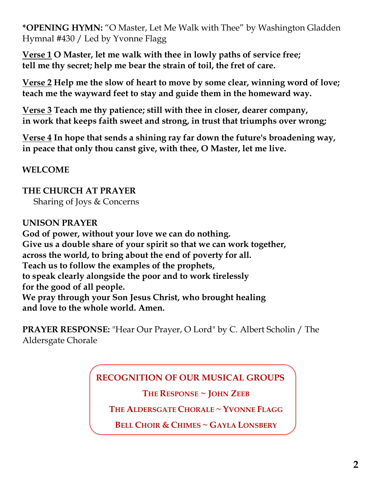**\*OPENING HYMN:** "O Master, Let Me Walk with Thee" by Washington Gladden Hymnal #430 / Led by Yvonne Flagg

**Verse 1 O Master, let me walk with thee in lowly paths of service free; tell me thy secret; help me bear the strain of toil, the fret of care.**

**Verse 2 Help me the slow of heart to move by some clear, winning word of love; teach me the wayward feet to stay and guide them in the homeward way.**

**Verse 3 Teach me thy patience; still with thee in closer, dearer company, in work that keeps faith sweet and strong, in trust that triumphs over wrong;**

**Verse 4 In hope that sends a shining ray far down the future's broadening way, in peace that only thou canst give, with thee, O Master, let me live.**

**WELCOME**

**THE CHURCH AT PRAYER** Sharing of Joys & Concerns

#### **UNISON PRAYER**

**God of power, without your love we can do nothing. Give us a double share of your spirit so that we can work together, across the world, to bring about the end of poverty for all. Teach us to follow the examples of the prophets, to speak clearly alongside the poor and to work tirelessly for the good of all people. We pray through your Son Jesus Christ, who brought healing and love to the whole world. Amen.**

**PRAYER RESPONSE:** "Hear Our Prayer, O Lord" by C. Albert Scholin / The Aldersgate Chorale

## **RECOGNITION OF OUR MUSICAL GROUPS**

**THE RESPONSE ~ JOHN ZEEB**

**THE ALDERSGATE CHORALE ~ YVONNE FLAGG**

**BELL CHOIR & CHIMES ~ GAYLA LONSBERY**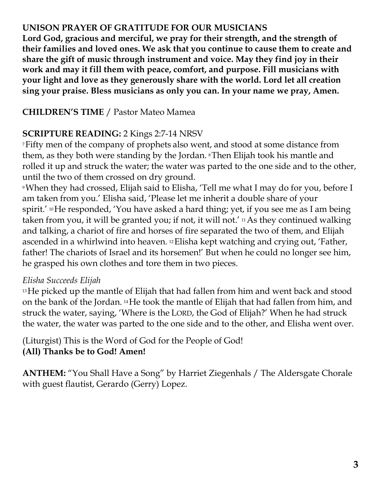#### **UNISON PRAYER OF GRATITUDE FOR OUR MUSICIANS**

**Lord God, gracious and merciful, we pray for their strength, and the strength of their families and loved ones. We ask that you continue to cause them to create and share the gift of music through instrument and voice. May they find joy in their work and may it fill them with peace, comfort, and purpose. Fill musicians with your light and love as they generously share with the world. Lord let all creation sing your praise. Bless musicians as only you can. In your name we pray, Amen.**

## **CHILDREN'S TIME** / Pastor Mateo Mamea

## **SCRIPTURE READING:** 2 Kings 2:7-14 NRSV

<sup>7</sup>Fifty men of the company of prophets also went, and stood at some distance from them, as they both were standing by the Jordan. <sup>8</sup>Then Elijah took his mantle and rolled it up and struck the water; the water was parted to the one side and to the other, until the two of them crossed on dry ground.

<sup>9</sup>When they had crossed, Elijah said to Elisha, 'Tell me what I may do for you, before I am taken from you.' Elisha said, 'Please let me inherit a double share of your spirit.' <sup>10</sup>He responded, 'You have asked a hard thing; yet, if you see me as I am being taken from you, it will be granted you; if not, it will not.' <sup>11</sup>As they continued walking and talking, a chariot of fire and horses of fire separated the two of them, and Elijah ascended in a whirlwind into heaven. <sup>12</sup>Elisha kept watching and crying out, 'Father, father! The chariots of Israel and its horsemen!' But when he could no longer see him, he grasped his own clothes and tore them in two pieces.

## *Elisha Succeeds Elijah*

<sup>13</sup> He picked up the mantle of Elijah that had fallen from him and went back and stood on the bank of the Jordan. <sup>14</sup>He took the mantle of Elijah that had fallen from him, and struck the water, saying, 'Where is the LORD, the God of Elijah?' When he had struck the water, the water was parted to the one side and to the other, and Elisha went over.

(Liturgist) This is the Word of God for the People of God! **(All) Thanks be to God! Amen!**

**ANTHEM:** "You Shall Have a Song" by Harriet Ziegenhals / The Aldersgate Chorale with guest flautist, Gerardo (Gerry) Lopez.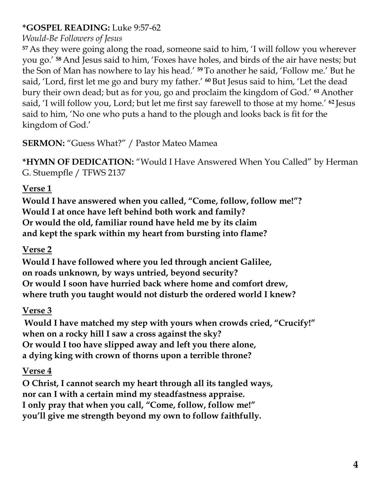## **\*GOSPEL READING:** Luke 9:57-62

## *Would-Be Followers of Jesus*

**<sup>57</sup>** As they were going along the road, someone said to him, 'I will follow you wherever you go.' **<sup>58</sup>** And Jesus said to him, 'Foxes have holes, and birds of the air have nests; but the Son of Man has nowhere to lay his head.' **<sup>59</sup>** To another he said, 'Follow me.' But he said, 'Lord, first let me go and bury my father.' **<sup>60</sup>** But Jesus said to him, 'Let the dead bury their own dead; but as for you, go and proclaim the kingdom of God.' **<sup>61</sup>** Another said, 'I will follow you, Lord; but let me first say farewell to those at my home.' **<sup>62</sup>** Jesus said to him, 'No one who puts a hand to the plough and looks back is fit for the kingdom of God.'

## **SERMON:** "Guess What?" / Pastor Mateo Mamea

**\*HYMN OF DEDICATION:** "Would I Have Answered When You Called" by Herman G. Stuempfle / TFWS 2137

## **Verse 1**

**Would I have answered when you called, "Come, follow, follow me!"? Would I at once have left behind both work and family? Or would the old, familiar round have held me by its claim and kept the spark within my heart from bursting into flame?**

## **Verse 2**

**Would I have followed where you led through ancient Galilee, on roads unknown, by ways untried, beyond security? Or would I soon have hurried back where home and comfort drew, where truth you taught would not disturb the ordered world I knew?**

## **Verse 3**

**Would I have matched my step with yours when crowds cried, "Crucify!" when on a rocky hill I saw a cross against the sky? Or would I too have slipped away and left you there alone, a dying king with crown of thorns upon a terrible throne?**

## **Verse 4**

**O Christ, I cannot search my heart through all its tangled ways, nor can I with a certain mind my steadfastness appraise. I only pray that when you call, "Come, follow, follow me!" you'll give me strength beyond my own to follow faithfully.**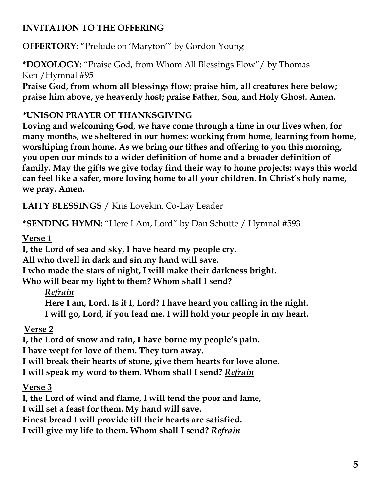## **INVITATION TO THE OFFERING**

**OFFERTORY:** "Prelude on 'Maryton'" by Gordon Young

**\*DOXOLOGY:** "Praise God, from Whom All Blessings Flow"/ by Thomas Ken /Hymnal #95

**Praise God, from whom all blessings flow; praise him, all creatures here below; praise him above, ye heavenly host; praise Father, Son, and Holy Ghost. Amen.**

#### **\*UNISON PRAYER OF THANKSGIVING**

**Loving and welcoming God, we have come through a time in our lives when, for many months, we sheltered in our homes: working from home, learning from home, worshiping from home. As we bring our tithes and offering to you this morning, you open our minds to a wider definition of home and a broader definition of family. May the gifts we give today find their way to home projects: ways this world can feel like a safer, more loving home to all your children. In Christ's holy name, we pray. Amen.**

**LAITY BLESSINGS** / Kris Lovekin, Co-Lay Leader

**\*SENDING HYMN:** "Here I Am, Lord" by Dan Schutte / Hymnal #593

#### **Verse 1**

**I, the Lord of sea and sky, I have heard my people cry.**

**All who dwell in dark and sin my hand will save.**

**I who made the stars of night, I will make their darkness bright.**

**Who will bear my light to them? Whom shall I send?**

## *Refrain*

**Here I am, Lord. Is it I, Lord? I have heard you calling in the night. I will go, Lord, if you lead me. I will hold your people in my heart.**

## **Verse 2**

**I, the Lord of snow and rain, I have borne my people's pain.**

**I have wept for love of them. They turn away.**

**I will break their hearts of stone, give them hearts for love alone.**

**I will speak my word to them. Whom shall I send?** *Refrain*

## **Verse 3**

**I, the Lord of wind and flame, I will tend the poor and lame,**

**I will set a feast for them. My hand will save.**

**Finest bread I will provide till their hearts are satisfied.**

**I will give my life to them. Whom shall I send?** *Refrain*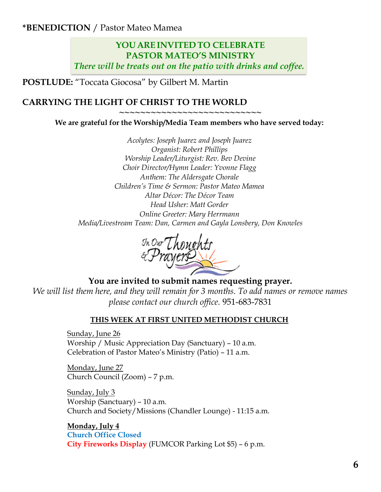**\*BENEDICTION** / Pastor Mateo Mamea

#### **YOU ARE INVITED TO CELEBRATE PASTOR MATEO'S MINISTRY** *There will be treats out on the patio with drinks and coffee.*

**POSTLUDE:** "Toccata Giocosa" by Gilbert M. Martin

#### **CARRYING THE LIGHT OF CHRIST TO THE WORLD**

**~~~~~~~~~~~~~~~~~~~~~~~~~~~**

**We are grateful for the Worship/Media Team members who have served today:**

*Acolytes: Joseph Juarez and Joseph Juarez Organist: Robert Phillips Worship Leader/Liturgist: Rev. Bev Devine Choir Director/Hymn Leader: Yvonne Flagg Anthem: The Aldersgate Chorale Children's Time & Sermon: Pastor Mateo Mamea Altar Décor: The Décor Team Head Usher: Matt Gorder Online Greeter: Mary Herrmann Media/Livestream Team: Dan, Carmen and Gayla Lonsbery, Don Knowles*

<sup>In Our</sup>Thoughts<br>&Prayers

**You are invited to submit names requesting prayer.**

*We will list them here, and they will remain for 3 months. To add names or remove names please contact our church office.* 951-683-7831

#### **THIS WEEK AT FIRST UNITED METHODIST CHURCH**

Sunday, June 26 Worship / Music Appreciation Day (Sanctuary) – 10 a.m. Celebration of Pastor Mateo's Ministry (Patio) – 11 a.m.

Monday, June 27 Church Council (Zoom) – 7 p.m.

Sunday, July 3 Worship (Sanctuary) – 10 a.m. Church and Society/Missions (Chandler Lounge) - 11:15 a.m.

**Monday, July 4 Church Office Closed City Fireworks Display** (FUMCOR Parking Lot \$5) – 6 p.m.